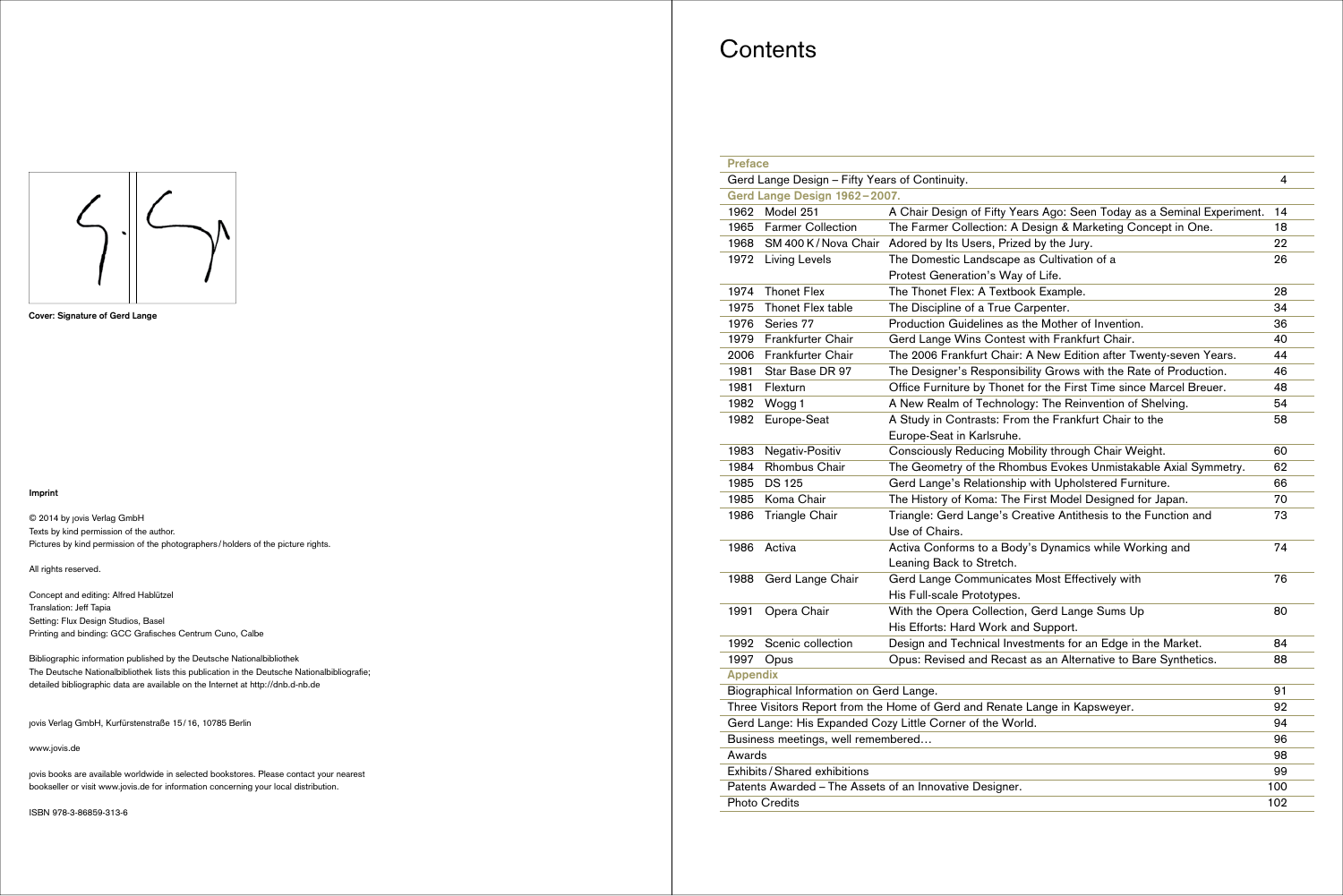#### **Imprint**

© 2014 by jovis Verlag GmbH Texts by kind permission of the author. Pictures by kind permission of the photographers / holders of the picture rights.

Concept and editing: Alfred Hablützel Translation: Jeff Tapia Setting: Flux Design Studios, Basel Printing and binding: GCC Grafisches Centrum Cuno, Calbe

All rights reserved.

Bibliographic information published by the Deutsche Nationalbibliothek The Deutsche Nationalbibliothek lists this publication in the Deutsche Nationalbibliografie; detailed bibliographic data are available on the Internet at http://dnb.d-nb.de

jovis Verlag GmbH, Kurfürstenstraße 15 / 16, 10785 Berlin

www.jovis.de

jovis books are available worldwide in selected bookstores. Please contact your nearest bookseller or visit www.jovis.de for information concerning your local distribution.

ISBN 978-3-86859-313-6

## **Contents**





| <b>Preface</b>                                      |                                                                            |                                                                        |    |  |
|-----------------------------------------------------|----------------------------------------------------------------------------|------------------------------------------------------------------------|----|--|
| Gerd Lange Design - Fifty Years of Continuity.<br>4 |                                                                            |                                                                        |    |  |
| Gerd Lange Design 1962-2007.                        |                                                                            |                                                                        |    |  |
| 1962                                                | Model 251                                                                  | A Chair Design of Fifty Years Ago: Seen Today as a Seminal Experiment. | 14 |  |
| 1965                                                | <b>Farmer Collection</b>                                                   | The Farmer Collection: A Design & Marketing Concept in One.            | 18 |  |
| 1968                                                |                                                                            | SM 400 K/Nova Chair Adored by Its Users, Prized by the Jury.           | 22 |  |
| 1972                                                | <b>Living Levels</b>                                                       | The Domestic Landscape as Cultivation of a                             | 26 |  |
|                                                     |                                                                            | Protest Generation's Way of Life.                                      |    |  |
| 1974                                                | <b>Thonet Flex</b>                                                         | The Thonet Flex: A Textbook Example.                                   | 28 |  |
| 1975                                                | Thonet Flex table                                                          | The Discipline of a True Carpenter.                                    | 34 |  |
| 1976                                                | Series 77                                                                  | Production Guidelines as the Mother of Invention.                      | 36 |  |
| 1979                                                | Frankfurter Chair                                                          | Gerd Lange Wins Contest with Frankfurt Chair.                          | 40 |  |
| 2006                                                | Frankfurter Chair                                                          | The 2006 Frankfurt Chair: A New Edition after Twenty-seven Years.      | 44 |  |
| 1981                                                | Star Base DR 97                                                            | The Designer's Responsibility Grows with the Rate of Production.       | 46 |  |
| 1981                                                | Flexturn                                                                   | Office Furniture by Thonet for the First Time since Marcel Breuer.     | 48 |  |
| 1982                                                | Wogg 1                                                                     | A New Realm of Technology: The Reinvention of Shelving.                | 54 |  |
| 1982                                                | Europe-Seat                                                                | A Study in Contrasts: From the Frankfurt Chair to the                  | 58 |  |
|                                                     |                                                                            | Europe-Seat in Karlsruhe.                                              |    |  |
| 1983                                                | Negativ-Positiv                                                            | Consciously Reducing Mobility through Chair Weight.                    | 60 |  |
| 1984                                                | <b>Rhombus Chair</b>                                                       | The Geometry of the Rhombus Evokes Unmistakable Axial Symmetry.        | 62 |  |
| 1985                                                | <b>DS 125</b>                                                              | Gerd Lange's Relationship with Upholstered Furniture.                  | 66 |  |
| 1985                                                | Koma Chair                                                                 | The History of Koma: The First Model Designed for Japan.               | 70 |  |
| 1986                                                | <b>Triangle Chair</b>                                                      | Triangle: Gerd Lange's Creative Antithesis to the Function and         | 73 |  |
|                                                     |                                                                            | Use of Chairs.                                                         |    |  |
| 1986                                                | Activa                                                                     | Activa Conforms to a Body's Dynamics while Working and                 | 74 |  |
|                                                     |                                                                            | Leaning Back to Stretch.                                               |    |  |
| 1988                                                | Gerd Lange Chair                                                           | Gerd Lange Communicates Most Effectively with                          | 76 |  |
|                                                     |                                                                            | His Full-scale Prototypes.                                             |    |  |
| 1991                                                | Opera Chair                                                                | With the Opera Collection, Gerd Lange Sums Up                          | 80 |  |
|                                                     |                                                                            | His Efforts: Hard Work and Support.                                    |    |  |
| 1992                                                | Scenic collection                                                          | Design and Technical Investments for an Edge in the Market.            | 84 |  |
| 1997                                                | Opus                                                                       | Opus: Revised and Recast as an Alternative to Bare Synthetics.         | 88 |  |
| <b>Appendix</b>                                     |                                                                            |                                                                        |    |  |
| Biographical Information on Gerd Lange.<br>91       |                                                                            |                                                                        |    |  |
|                                                     | Three Visitors Report from the Home of Gerd and Renate Lange in Kapsweyer. |                                                                        |    |  |
|                                                     | Gerd Lange: His Expanded Cozy Little Corner of the World.                  |                                                                        |    |  |
|                                                     | Business meetings, well remembered                                         |                                                                        |    |  |
| Awards                                              |                                                                            |                                                                        |    |  |
|                                                     | Exhibits / Shared exhibitions                                              |                                                                        |    |  |
|                                                     | Patents Awarded - The Assets of an Innovative Designer.                    |                                                                        |    |  |
| <b>Photo Credits</b><br>102                         |                                                                            |                                                                        |    |  |
|                                                     |                                                                            |                                                                        |    |  |

|                                               | 4         |
|-----------------------------------------------|-----------|
| ears Ago: Seen Today as a Seminal Experiment. | 14        |
| Design & Marketing Concept in One.            | 18        |
| red by the Jury.                              | 22        |
| e as Cultivation of a                         | 26        |
| y of Life.                                    |           |
| ook Example.                                  | 28        |
| Carpenter.                                    | 34        |
| s the Mother of Invention.                    | 36        |
| st with Frankfurt Chair.                      | 40        |
| r: A New Edition after Twenty-seven Years.    | 44        |
| ibility Grows with the Rate of Production.    | 46        |
| et for the First Time since Marcel Breuer.    | 48        |
| logy: The Reinvention of Shelving.            | 54        |
| om the Frankfurt Chair to the                 | 58        |
|                                               |           |
| lobility through Chair Weight.                | 60        |
| ombus Evokes Unmistakable Axial Symmetry.     | 62        |
| ip with Upholstered Furniture.                | 66        |
| e First Model Designed for Japan.             | 70        |
| Creative Antithesis to the Function and       | 73        |
| dy's Dynamics while Working and               | 74        |
| tes Most Effectively with                     | 76        |
|                                               |           |
| on, Gerd Lange Sums Up                        | 80        |
| nd Support.                                   |           |
| estments for an Edge in the Market.           | 84        |
| st as an Alternative to Bare Synthetics.      | 88        |
|                                               |           |
|                                               | 91<br>92  |
| e Lange in Kapsweyer.<br>orld.                | 94        |
|                                               |           |
|                                               | 96        |
|                                               | 98        |
|                                               | 99<br>100 |
| r.                                            |           |
|                                               | 102       |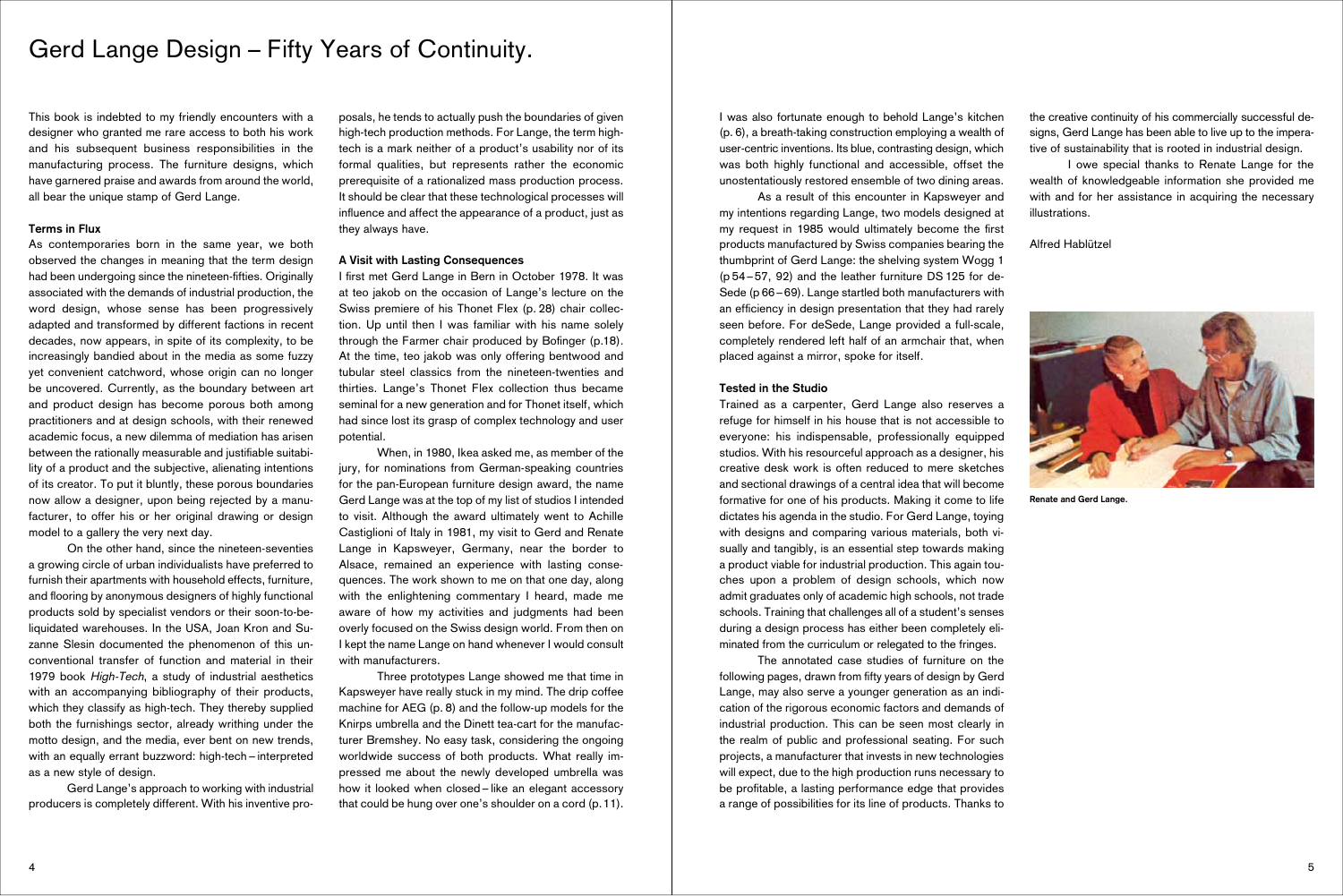This book is indebted to my friendly encounters with a designer who granted me rare access to both his work and his subsequent business responsibilities in the manufacturing process. The furniture designs, which have garnered praise and awards from around the world, all bear the unique stamp of Gerd Lange.

### **Terms in Flux**

As contemporaries born in the same year, we both observed the changes in meaning that the term design had been undergoing since the nineteen-fifties. Originally associated with the demands of industrial production, the word design, whose sense has been progressively adapted and transformed by different factions in recent decades, now appears, in spite of its complexity, to be increasingly bandied about in the media as some fuzzy yet convenient catchword, whose origin can no longer be uncovered. Currently, as the boundary between art and product design has become porous both among practitioners and at design schools, with their renewed academic focus, a new dilemma of mediation has arisen between the rationally measurable and justifiable suitability of a product and the subjective, alienating intentions of its creator. To put it bluntly, these porous boundaries now allow a designer, upon being rejected by a manufacturer, to offer his or her original drawing or design model to a gallery the very next day.

I first met Gerd Lange in Bern in October 1978. It was at teo jakob on the occasion of Lange's lecture on the Swiss premiere of his Thonet Flex (p. 28) chair collection. Up until then I was familiar with his name solely through the Farmer chair produced by Bofinger (p.18). At the time, teo jakob was only offering bentwood and tubular steel classics from the nineteen-twenties and thirties. Lange's Thonet Flex collection thus became seminal for a new generation and for Thonet itself, which had since lost its grasp of complex technology and user potential.

 On the other hand, since the nineteen-seventies a growing circle of urban individualists have preferred to furnish their apartments with household effects, furniture, and flooring by anonymous designers of highly functional products sold by specialist vendors or their soon-to-beliquidated warehouses. In the USA, Joan Kron and Suzanne Slesin documented the phenomenon of this unconventional transfer of function and material in their 1979 book High-Tech, a study of industrial aesthetics with an accompanying bibliography of their products, which they classify as high-tech. They thereby supplied both the furnishings sector, already writhing under the motto design, and the media, ever bent on new trends, with an equally errant buzzword: high-tech – interpreted as a new style of design.

 Gerd Lange's approach to working with industrial producers is completely different. With his inventive pro-

posals, he tends to actually push the boundaries of given high-tech production methods. For Lange, the term hightech is a mark neither of a product's usability nor of its formal qualities, but represents rather the economic prerequisite of a rationalized mass production process. It should be clear that these technological processes will influence and affect the appearance of a product, just as they always have.

### **A Visit with Lasting Consequences**

 When, in 1980, Ikea asked me, as member of the jury, for nominations from German-speaking countries for the pan-European furniture design award, the name Gerd Lange was at the top of my list of studios I intended to visit. Although the award ultimately went to Achille Castiglioni of Italy in 1981, my visit to Gerd and Renate Lange in Kapsweyer, Germany, near the border to Alsace, remained an experience with lasting consequences. The work shown to me on that one day, along with the enlightening commentary I heard, made me aware of how my activities and judgments had been overly focused on the Swiss design world. From then on I kept the name Lange on hand whenever I would consult with manufacturers.

 Three prototypes Lange showed me that time in Kapsweyer have really stuck in my mind. The drip coffee machine for AEG (p. 8) and the follow-up models for the Knirps umbrella and the Dinett tea-cart for the manufacturer Bremshey. No easy task, considering the ongoing worldwide success of both products. What really impressed me about the newly developed umbrella was how it looked when closed – like an elegant accessory that could be hung over one's shoulder on a cord (p. 11).

# Gerd Lange Design – Fifty Years of Continuity.

I was also fortunate enough to behold Lange's kitchen (p. 6), a breath-taking construction employing a wealth of user-centric inventions. Its blue, contrasting design, which was both highly functional and accessible, offset the unostentatiously restored ensemble of two dining areas.

 As a result of this encounter in Kapsweyer and my intentions regarding Lange, two models designed at my request in 1985 would ultimately become the first products manufactured by Swiss companies bearing the thumbprint of Gerd Lange: the shelving system Wogg 1 (p 54 – 57, 92) and the leather furniture DS 125 for de-Sede (p 66 – 69). Lange startled both manufacturers with an efficiency in design presentation that they had rarely seen before. For deSede, Lange provided a full-scale, completely rendered left half of an armchair that, when placed against a mirror, spoke for itself.

#### **Tested in the Studio**

Trained as a carpenter, Gerd Lange also reserves a refuge for himself in his house that is not accessible to everyone: his indispensable, professionally equipped studios. With his resourceful approach as a designer, his creative desk work is often reduced to mere sketches and sectional drawings of a central idea that will become formative for one of his products. Making it come to life dictates his agenda in the studio. For Gerd Lange, toying with designs and comparing various materials, both visually and tangibly, is an essential step towards making a product viable for industrial production. This again touches upon a problem of design schools, which now admit graduates only of academic high schools, not trade schools. Training that challenges all of a student's senses during a design process has either been completely eliminated from the curriculum or relegated to the fringes.

 The annotated case studies of furniture on the following pages, drawn from fifty years of design by Gerd Lange, may also serve a younger generation as an indication of the rigorous economic factors and demands of industrial production. This can be seen most clearly in the realm of public and professional seating. For such projects, a manufacturer that invests in new technologies will expect, due to the high production runs necessary to be profitable, a lasting performance edge that provides a range of possibilities for its line of products. Thanks to the creative continuity of his commercially successful designs, Gerd Lange has been able to live up to the imperative of sustainability that is rooted in industrial design.

 I owe special thanks to Renate Lange for the wealth of knowledgeable information she provided me with and for her assistance in acquiring the necessary illustrations.

Alfred Hablützel



**Renate and Gerd Lange.**